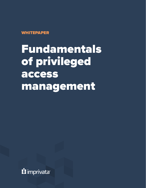**WHITEPAPER** 

Fundamentals of privileged access management

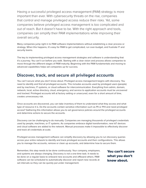Having a successful privileged access management (PAM) strategy is more important than ever. With cybersecurity threats on the rise, companies that control and manage privileged access reduce their risks. Yet, some companies believe privileged access management is too complicated and out of reach. But it doesn't have to be. With the right approach and tools, companies can simplify their PAM implementations while improving their overall security.

Many companies jump right in to PAM software implementations without establishing a clear process or strategy. When this happens, it's easy for PAM to get complicated, run over-budget, and frustrate IT and security teams.

The key to implementing privileged access management strategies and software is understanding that it's a journey. You can't run before you walk. Starting with a clear vision and process allows companies to move through the different stages of PAM maturity. Beginning with the PAM fundamentals and moving to advanced capabilities helps set companies up for success.

## **Discover, track, and secure all privileged accounts**

You can't secure what you don't know about. Privileged access management begins with discovery. You need to identify and find all privileged accounts. This includes accounts used by privileged users (people) and by machines, IT systems, or cloud software for intercommunication. Everything from admin, domain, network, local, active directory, cloud, emergency, and service to application accounts must be uncovered and tracked. Privileged accounts left at factory setting or unsecured, even for a short amount of time, creates unnecessary risk.

Once accounts are discovered, you can take inventory of them to understand what they access and what type of resource it is. Do the accounts contain sensitive information such as PII or PHI and need privileged access? Gathering this information allows you to set governance policies around the privileged accounts and determine actions to secure the accounts.

Discovery can be challenging to do manually. Companies are managing thousands of privileged credentials used by people, machines, or IT systems. As companies embrace digital transformation, new IoT devices and cloud software are added to the network. Manual processes make it impossible to effectively discover and track all credentials at scale.

Privileged access management software can simplify discovery by allowing you to run discovery queries across your entire network to identify and track privileged accounts and their configurations. This allows you to manage the accounts, remove or clean up accounts, and determine how to secure them.

Remember, this step needs to be done continuously. Your company, employees, and systems are always changing. Discovery is not a one-time task. It needs to be done on a regular basis to onboard new accounts and offboard others. PAM software can be scheduled to automatically discover and report new records at set intervals so they can be quickly put under management.

You can't secure what you don't know about.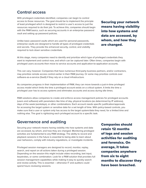## **Control access**

With privileged credentials identified, companies can begin to control access to those resources. The goal should be to implement the principle of least privileged which is designed to restrict a user's access to just the resources required to do their job. To achieve this, companies should begin with the PAM basics, such as securing accounts in an enterprise password vault and setting up password policies.

Unlike basic password vaults which are used for personal passwords, enterprise vaults are designed to handle all types of privileged credentials and secrets. They provide the enhanced security, control, and visibility required to lock down sensitive credentials.

Securing your network means having visibility into how systems and data are accessed, by whom, and how they are changed.

At this stage, many companies need to identify and prioritize which type of privileged credentials they want to implement and control now, and which can be captured later. Often times, companies begin with privileged users accounts then move to service accounts and application-to-application accounts.

This can vary, however. Companies that have numerous third-party business partners, and/or contractors, may prioritize remote access control earlier in their PAM journey. Or some may prioritize controls over software-as-a-service (SaaS) if they rely on a cloud infrastructure.

As companies progress in their implementation of PAM, they can move towards a just-in-time privileged access model which limits the time a privileged account exists on a critical system. It limits the time a privileged user has to access systems and eliminates accounts and access during idle times.

PAM solutions allow companies to create and enforce access management policies for privileged accounts (users and software) with parameters like time of day, physical locations (as determined by IP address), days of the week (workdays), or other combinations. Each account needs specific justification/approvals for accessing the target system or sensitive data for a set length of time. With policy-based controls, you make sure that a user or system only has access to the target system/data they need, for a limited time and nothing else. The goal is rightsizing each privileged account to a specific task.

### **Governance and auditing**

Securing your network means having visibility into how systems and data are accessed, by whom, and how they are changed. Monitoring privileged activities are fundamental to any PAM strategy. The ability to record and playback sessions in the future is essential to being able to learn about user behaviors, comply with industry regulations, or investigate incidents.

Privileged session managers are designed to record, monitor, replay, search, and report on all actions taken during a privileged session. Depending on the session this might include video recording, text input, keystrokes, or some combination. Look for a PAM solution that provides full session management capabilities while making it easy to quickly search and review activity. This is essential – otherwise IT and auditors could spend hours reviewing sessions.

Companies should retain 12 months of logs and session activities for auditing and forensics. On average, it takes companies anywhere from six to eight months to discover they have been breached.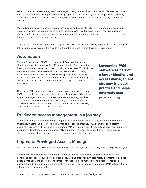When it comes to implementing session managers, the goal should be to monitor all privileged sessions and review all human-driven privileged activity. If you are constrained by resources, prioritize reviewing higher risk sessions that involve access to IP, PII, etc. or high-risk users such as third-party partners and contractors.

More advanced session manager capabilities include setting up alerts to notify managers of suspicious activity. This might include privileged access that bypasses PAM tools, abnormal times and locations, changes in frequency, or accounts accessing resources they don't normally access. These sessions can then be reviewed or terminated in real-time.

Companies should retain 12 months of logs and session activities for auditing and forensics. On average, it takes companies anywhere from six to eight months to discover they have been breached.

#### **Automation**

The last fundamental of PAM is automation. A PAM solution can automate simple and repetitive tasks, which offers real value to IT administrators, freeing up time and resources to focus on high-value tasks. This includes automating password-related tasks such as resets and automating alerts to notify administrators of password requests or web application transactions. Other areas for automation include configuration changes, software installations, log management, and startup and shutdown processes.

Once basic PAM functionality is implemented, companies can integrate PAM into their larger IT and security strategies. Leveraging PAM software as part of a larger identity and access management strategy is a best practice and helps automate user provisioning. Advanced automation capabilities allow companies to move beyond basic PAM functionality to just-in-time access and zero trust strategies.

Leveraging PAM software as part of a larger identity and access management strategy is a best practice and helps automate user provisioning.

#### **Privileged access management is a journey**

Companies that jump headfirst into privileged access management can quickly get overwhelmed and frustrated. Whether you are moving from manual processes or legacy PAM solutions, it's important to establish a process and clear goals. Remember: PAM is a journey. Start by identifying your most important priorities and implementing core functionality. From there, it is easy to expand on privileged access strategies in a way that supports your needs, requirements, and budget.

## **Imprivata Privileged Access Manager**

Discover how Imprivata solutions can help you simplify privileged access management and grow with you.

Imprivata Privileged Access Management addresses critical security and compliance challenges by controlling access to all types of privileged accounts and credentials. What's more, it combines privileged account management, session management with recording, job management, a secure enterprise password vault, and multifactor authentication to deliver a comprehensive, enterprise PAM solution that is affordable and easy to maintain.

Contact us today for a demo and learn how we can help you on your PAM journey.